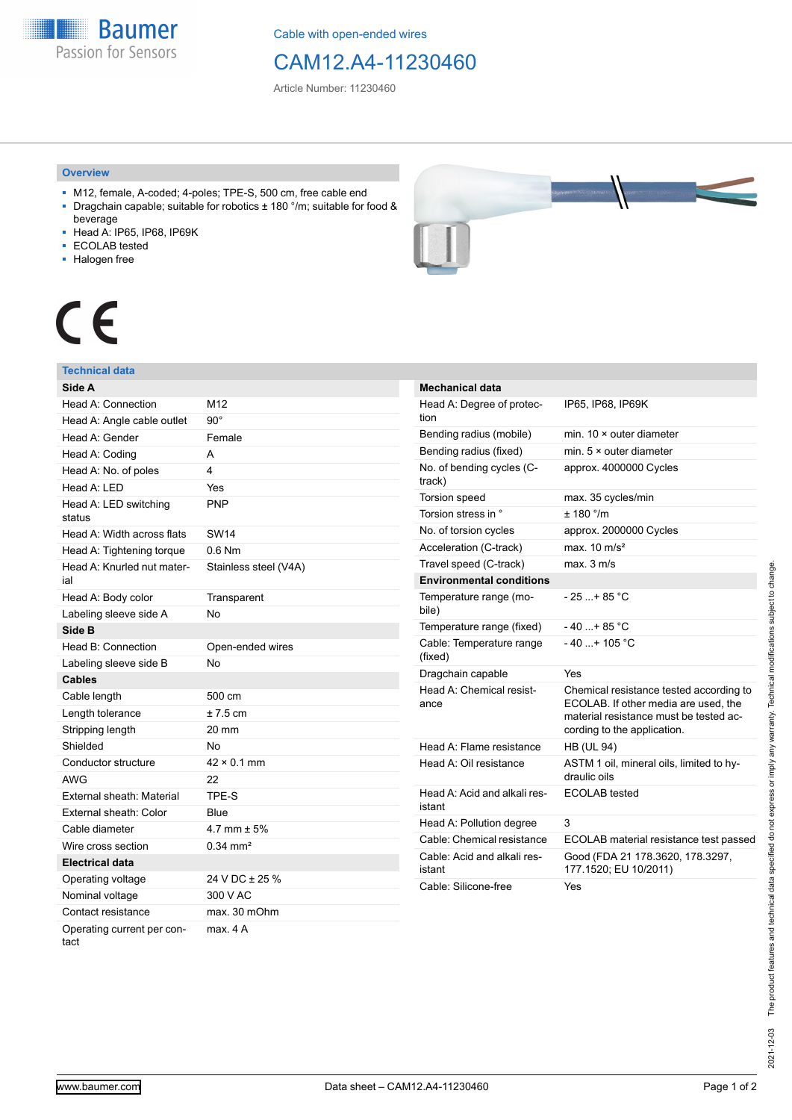**Baumer** Passion for Sensors

Cable with open-ended wires

# CAM12.A4-11230460

Article Number: 11230460

### **Overview**

- M12, female, A-coded; 4-poles; TPE-S, 500 cm, free cable end ■ Dragchain capable; suitable for robotics ± 180 °/m; suitable for food &
- beverage
- Head A: IP65, IP68, IP69K
- ECOLAB tested
- Halogen free



# CE

## **Technical data**

| Side A                             |                       |
|------------------------------------|-----------------------|
| Head A: Connection                 | M12                   |
| Head A: Angle cable outlet         | $90^{\circ}$          |
| Head A: Gender                     | Female                |
| Head A: Coding                     | A                     |
| Head A: No. of poles               | 4                     |
| Head A: LED                        | Yes                   |
| Head A: LED switching<br>status    | <b>PNP</b>            |
| Head A: Width across flats         | <b>SW14</b>           |
| Head A: Tightening torque          | $0.6$ Nm              |
| Head A: Knurled nut mater-<br>ial  | Stainless steel (V4A) |
| Head A: Body color                 | Transparent           |
| Labeling sleeve side A             | No                    |
| Side B                             |                       |
| Head B: Connection                 | Open-ended wires      |
| Labeling sleeve side B             | No                    |
| <b>Cables</b>                      |                       |
| Cable length                       | 500 cm                |
| Length tolerance                   | $± 7.5$ cm            |
| Stripping length                   | 20 mm                 |
| Shielded                           | No                    |
| Conductor structure                | $42 \times 0.1$ mm    |
| <b>AWG</b>                         | 22                    |
| External sheath: Material          | TPE-S                 |
| External sheath: Color             | Blue                  |
| Cable diameter                     | 4.7 mm $\pm$ 5%       |
| Wire cross section                 | $0.34 \, \text{mm}^2$ |
| Electrical data                    |                       |
| Operating voltage                  | 24 V DC ± 25 %        |
| Nominal voltage                    | 300 V AC              |
| Contact resistance                 | max. 30 mOhm          |
| Operating current per con-<br>tact | max. 4 A              |

| <b>Mechanical data</b>                 |                                                                                                                                                          |
|----------------------------------------|----------------------------------------------------------------------------------------------------------------------------------------------------------|
| Head A: Degree of protec-<br>tion      | IP65, IP68, IP69K                                                                                                                                        |
| Bending radius (mobile)                | min. $10 \times$ outer diameter                                                                                                                          |
| Bending radius (fixed)                 | min. $5 \times$ outer diameter                                                                                                                           |
| No. of bending cycles (C-<br>track)    | approx. 4000000 Cycles                                                                                                                                   |
| <b>Torsion speed</b>                   | max. 35 cycles/min                                                                                                                                       |
| Torsion stress in °                    | ± 180 °/m                                                                                                                                                |
| No. of torsion cycles                  | approx. 2000000 Cycles                                                                                                                                   |
| Acceleration (C-track)                 | max. $10 \text{ m/s}^2$                                                                                                                                  |
| Travel speed (C-track)                 | max. 3 m/s                                                                                                                                               |
| <b>Environmental conditions</b>        |                                                                                                                                                          |
| Temperature range (mo-<br>bile)        | $-25+85 °C$                                                                                                                                              |
| Temperature range (fixed)              | $-40$ $+85$ °C                                                                                                                                           |
| Cable: Temperature range<br>(fixed)    | $-40+105$ °C                                                                                                                                             |
| Dragchain capable                      | Yes                                                                                                                                                      |
| Head A: Chemical resist-<br>ance       | Chemical resistance tested according to<br>ECOLAB. If other media are used, the<br>material resistance must be tested ac-<br>cording to the application. |
| Head A: Flame resistance               | <b>HB (UL 94)</b>                                                                                                                                        |
| Head A: Oil resistance                 | ASTM 1 oil, mineral oils, limited to hy-<br>draulic oils                                                                                                 |
| Head A: Acid and alkali res-<br>istant | <b>ECOLAB</b> tested                                                                                                                                     |
| Head A: Pollution degree               | 3                                                                                                                                                        |
| Cable: Chemical resistance             | ECOLAB material resistance test passed                                                                                                                   |
| Cable: Acid and alkali res-<br>istant  | Good (FDA 21 178.3620, 178.3297,<br>177.1520; EU 10/2011)                                                                                                |
| Cable: Silicone-free                   | Yes                                                                                                                                                      |
|                                        |                                                                                                                                                          |